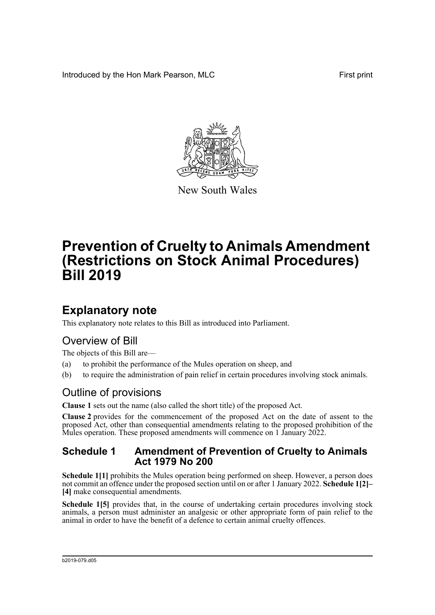Introduced by the Hon Mark Pearson, MLC **First print** First print



New South Wales

# **Prevention of Cruelty to Animals Amendment (Restrictions on Stock Animal Procedures) Bill 2019**

### **Explanatory note**

This explanatory note relates to this Bill as introduced into Parliament.

### Overview of Bill

The objects of this Bill are—

- (a) to prohibit the performance of the Mules operation on sheep, and
- (b) to require the administration of pain relief in certain procedures involving stock animals.

### Outline of provisions

**Clause 1** sets out the name (also called the short title) of the proposed Act.

**Clause 2** provides for the commencement of the proposed Act on the date of assent to the proposed Act, other than consequential amendments relating to the proposed prohibition of the Mules operation. These proposed amendments will commence on 1 January 2022.

#### **Schedule 1 Amendment of Prevention of Cruelty to Animals Act 1979 No 200**

**Schedule 1[1]** prohibits the Mules operation being performed on sheep. However, a person does not commit an offence under the proposed section until on or after 1 January 2022. **Schedule 1[2]– [4]** make consequential amendments.

**Schedule 1[5]** provides that, in the course of undertaking certain procedures involving stock animals, a person must administer an analgesic or other appropriate form of pain relief to the animal in order to have the benefit of a defence to certain animal cruelty offences.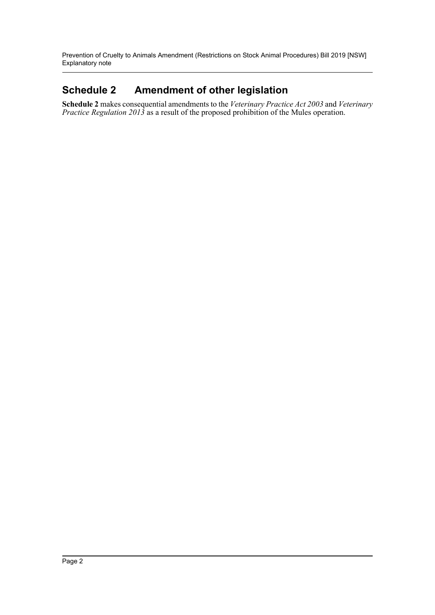Prevention of Cruelty to Animals Amendment (Restrictions on Stock Animal Procedures) Bill 2019 [NSW] Explanatory note

### **Schedule 2 Amendment of other legislation**

**Schedule 2** makes consequential amendments to the *Veterinary Practice Act 2003* and *Veterinary Practice Regulation 2013* as a result of the proposed prohibition of the Mules operation.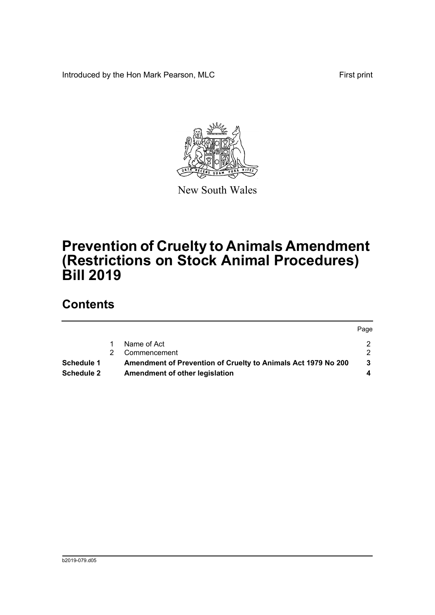Introduced by the Hon Mark Pearson, MLC **First print** First print

Page



New South Wales

## **Prevention of Cruelty to Animals Amendment (Restrictions on Stock Animal Procedures) Bill 2019**

### **Contents**

|                   |   |                                                               | <b>Page</b> |
|-------------------|---|---------------------------------------------------------------|-------------|
|                   |   | Name of Act                                                   |             |
|                   | 2 | Commencement                                                  |             |
| <b>Schedule 1</b> |   | Amendment of Prevention of Cruelty to Animals Act 1979 No 200 |             |
| <b>Schedule 2</b> |   | Amendment of other legislation                                |             |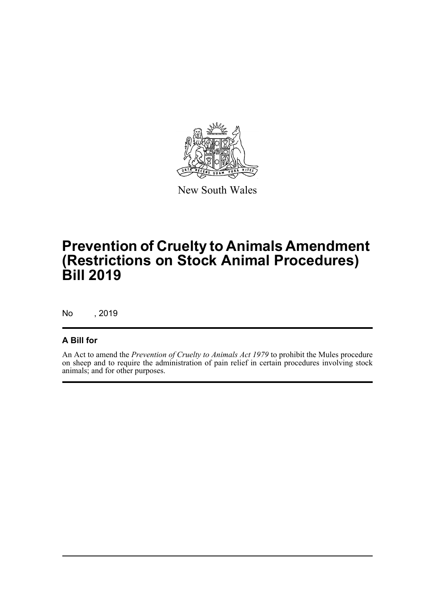

New South Wales

## **Prevention of Cruelty to Animals Amendment (Restrictions on Stock Animal Procedures) Bill 2019**

No , 2019

#### **A Bill for**

An Act to amend the *Prevention of Cruelty to Animals Act 1979* to prohibit the Mules procedure on sheep and to require the administration of pain relief in certain procedures involving stock animals; and for other purposes.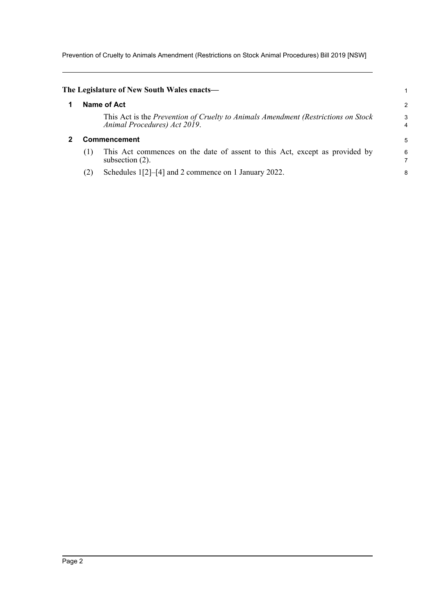Prevention of Cruelty to Animals Amendment (Restrictions on Stock Animal Procedures) Bill 2019 [NSW]

<span id="page-4-1"></span><span id="page-4-0"></span>

| The Legislature of New South Wales enacts— |     |                                                                                                                   |        |
|--------------------------------------------|-----|-------------------------------------------------------------------------------------------------------------------|--------|
|                                            |     | Name of Act                                                                                                       | 2      |
|                                            |     | This Act is the Prevention of Cruelty to Animals Amendment (Restrictions on Stock<br>Animal Procedures) Act 2019. | 3<br>4 |
|                                            |     | <b>Commencement</b>                                                                                               |        |
|                                            | (1) | This Act commences on the date of assent to this Act, except as provided by<br>subsection $(2)$ .                 | 6      |
|                                            |     | Schedules 1[2]–[4] and 2 commence on 1 January 2022.                                                              | 8      |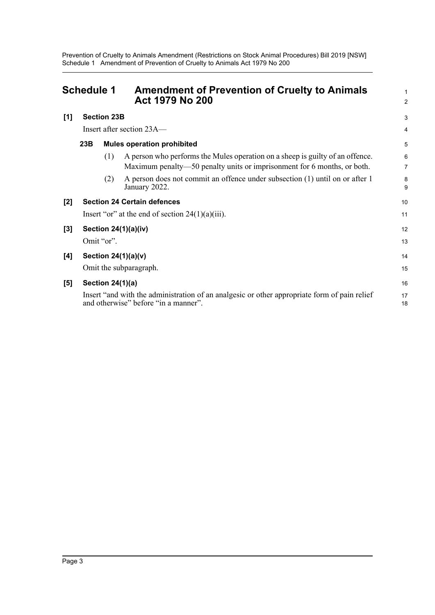<span id="page-5-0"></span>

| <b>Schedule 1</b> |                                                     |                         | <b>Amendment of Prevention of Cruelty to Animals</b><br><b>Act 1979 No 200</b>                                                                           | 1<br>$\overline{a}$ |
|-------------------|-----------------------------------------------------|-------------------------|----------------------------------------------------------------------------------------------------------------------------------------------------------|---------------------|
| [1]               |                                                     | <b>Section 23B</b>      |                                                                                                                                                          | 3                   |
|                   | Insert after section 23A—                           |                         |                                                                                                                                                          | 4                   |
|                   | 23B                                                 |                         | <b>Mules operation prohibited</b>                                                                                                                        | 5                   |
|                   |                                                     | (1)                     | A person who performs the Mules operation on a sheep is guilty of an offence.<br>Maximum penalty—50 penalty units or imprisonment for 6 months, or both. | 6<br>7              |
|                   |                                                     | (2)                     | A person does not commit an offence under subsection (1) until on or after 1<br>January 2022.                                                            | 8<br>9              |
| [2]               |                                                     |                         | <b>Section 24 Certain defences</b>                                                                                                                       | 10                  |
|                   | Insert "or" at the end of section $24(1)(a)(iii)$ . |                         |                                                                                                                                                          | 11                  |
| $[3]$             |                                                     |                         | Section $24(1)(a)(iv)$                                                                                                                                   | 12                  |
|                   |                                                     | Omit "or".              |                                                                                                                                                          | 13                  |
| [4]               |                                                     |                         | Section $24(1)(a)(v)$                                                                                                                                    | 14                  |
|                   | Omit the subparagraph.                              |                         | 15                                                                                                                                                       |                     |
| [5]               |                                                     | <b>Section 24(1)(a)</b> |                                                                                                                                                          | 16                  |
|                   |                                                     |                         | Insert "and with the administration of an analgesic or other appropriate form of pain relief<br>and otherwise" before "in a manner".                     | 17<br>18            |